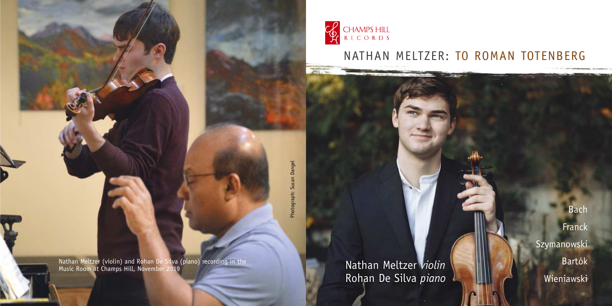

 $\overline{m}$ 

NATHAN MELTZER: TO ROMAN TOTENBERG

Dangel Photograph: Susan Dangel Photograph:

Nathan Meltzer (violin) and Rohan De Silva (piano) recording in the Music Room at Champs Hill, November 2019

Nathan Meltzer *violin* Rohan De Silva *piano*

Bach Franck **Szymanowski** Bartók Wieniawski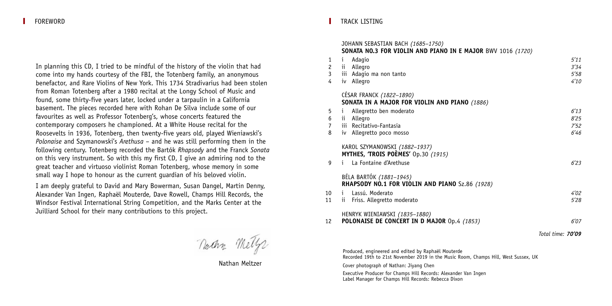In planning this CD, I tried to be mindful of the history of the violin that had come into my hands courtesy of the FBI, the Totenberg family, an anonymous benefactor, and Rare Violins of New York. This 1734 Stradivarius had been stolen from Roman Totenberg after a 1980 recital at the Longy School of Music and found, some thirty-five years later, locked under a tarpaulin in a California basement. The pieces recorded here with Rohan De Silva include some of our favourites as well as Professor Totenberg's, whose concerts featured the contemporary composers he championed. At a White House recital for the Roosevelts in 1936, Totenberg, then twenty-five years old, played Wieniawski's *Polonaise* and Szymanowski's *Arethusa* – and he was still performing them in the following century. Totenberg recorded the Bartók *Rhapsody* and the Franck *Sonata* on this very instrument. So with this my first CD, I give an admiring nod to the great teacher and virtuoso violinist Roman Totenberg, whose memory in some small way I hope to honour as the current guardian of his beloved violin.

I am deeply grateful to David and Mary Bowerman, Susan Dangel, Martin Denny, Alexander Van Ingen, Raphaël Mouterde, Dave Rowell, Champs Hill Records, the Windsor Festival International String Competition, and the Marks Center at the Juilliard School for their many contributions to this project.

naan Mely

Nathan Meltzer

## TRACK LISTING

|                      | JOHANN SEBASTIAN BACH (1685-1750)<br><b>SONATA NO.3 FOR VIOLIN AND PIANO IN E MAJOR BWV 1016 (1720)</b> |                   |
|----------------------|---------------------------------------------------------------------------------------------------------|-------------------|
| 1                    | Adagio<br>$\mathbf{1}$                                                                                  | 5'11              |
| $\mathbf{2}^{\circ}$ | ii Allegro                                                                                              | 3'34              |
| 3                    | iii Adagio ma non tanto                                                                                 | 5'58              |
| 4                    | iv Allegro                                                                                              | 4'10              |
|                      | CESAR FRANCK (1822-1890)                                                                                |                   |
|                      | SONATA IN A MAJOR FOR VIOLIN AND PIANO (1886)                                                           |                   |
| 5                    | Allegretto ben moderato<br>$\mathbf{1}$                                                                 | 6'13              |
| 6                    | ii Allegro                                                                                              | 8'25              |
| 7                    | iii Recitativo-Fantasia                                                                                 | 7'52              |
| 8                    | iv Allegretto poco mosso                                                                                | 6'46              |
|                      | KAROL SZYMANOWSKI (1882-1937)                                                                           |                   |
|                      | <b>MYTHES, 'TROIS POEMES'</b> 0p.30 (1915)                                                              |                   |
| 9                    | La Fontaine d'Arethuse<br>i.                                                                            | 6'23              |
|                      | BÉLA BARTÓK (1881-1945)                                                                                 |                   |
|                      | RHAPSODY NO.1 FOR VIOLIN AND PIANO Sz.86 (1928)                                                         |                   |
| 10                   | Lassú, Moderato<br>i.                                                                                   | 4'02              |
| 11                   | Friss. Allegretto moderato<br>ii.                                                                       | 5'28              |
|                      | HENRYK WIENIAWSKI (1835-1880)                                                                           |                   |
| 12                   | POLONAISE DE CONCERT IN D MAJOR Op.4 (1853)                                                             | 6'07              |
|                      |                                                                                                         | Total time: 70'09 |
|                      |                                                                                                         |                   |

Produced, engineered and edited by Raphaël Mouterde Recorded 19th to 21st November 2019 in the Music Room, Champs Hill, West Sussex, UK

Cover photograph of Nathan: Jiyang Chen

Executive Producer for Champs Hill Records: Alexander Van Ingen Label Manager for Champs Hill Records: Rebecca Dixon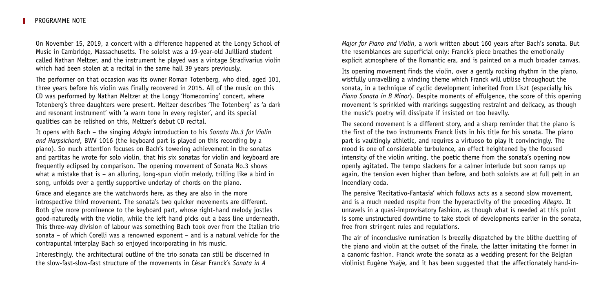On November 15, 2019, a concert with a difference happened at the Longy School of Music in Cambridge, Massachusetts. The soloist was a 19-year-old Juilliard student called Nathan Meltzer, and the instrument he played was a vintage Stradivarius violin which had been stolen at a recital in the same hall 39 years previously.

The performer on that occasion was its owner Roman Totenberg, who died, aged 101, three years before his violin was finally recovered in 2015. All of the music on this CD was performed by Nathan Meltzer at the Longy 'Homecoming' concert, where Totenberg's three daughters were present. Meltzer describes 'The Totenberg' as 'a dark and resonant instrument' with 'a warm tone in every register', and its special qualities can be relished on this, Meltzer's debut CD recital.

It opens with Bach – the singing *Adagio* introduction to his *Sonata No.3 for Violin and Harpsichord*, BWV 1016 (the keyboard part is played on this recording by a piano). So much attention focuses on Bach's towering achievement in the sonatas and partitas he wrote for solo violin, that his six sonatas for violin and keyboard are frequently eclipsed by comparison. The opening movement of Sonata No.3 shows what a mistake that is – an alluring, long-spun violin melody, trilling like a bird in song, unfolds over a gently supportive underlay of chords on the piano.

Grace and elegance are the watchwords here, as they are also in the more introspective third movement. The sonata's two quicker movements are different. Both give more prominence to the keyboard part, whose right-hand melody jostles good-naturedly with the violin, while the left hand picks out a bass line underneath. This three-way division of labour was something Bach took over from the Italian trio sonata – of which Corelli was a renowned exponent – and is a natural vehicle for the contrapuntal interplay Bach so enjoyed incorporating in his music.

Interestingly, the architectural outline of the trio sonata can still be discerned in the slow-fast-slow-fast structure of the movements in César Franck's *Sonata in A*

*Major for Piano and Violin*, a work written about 160 years after Bach's sonata. But the resemblances are superficial only: Franck's piece breathes the emotionally explicit atmosphere of the Romantic era, and is painted on a much broader canvas.

Its opening movement finds the violin, over a gently rocking rhythm in the piano, wistfully unravelling a winding theme which Franck will utilise throughout the sonata, in a technique of cyclic development inherited from Liszt (especially his *Piano Sonata in B Minor*). Despite moments of effulgence, the score of this opening movement is sprinkled with markings suggesting restraint and delicacy, as though the music's poetry will dissipate if insisted on too heavily.

The second movement is a different story, and a sharp reminder that the piano is the first of the two instruments Franck lists in his title for his sonata. The piano part is vaultingly athletic, and requires a virtuoso to play it convincingly. The mood is one of considerable turbulence, an effect heightened by the focused intensity of the violin writing, the poetic theme from the sonata's opening now openly agitated. The tempo slackens for a calmer interlude but soon ramps up again, the tension even higher than before, and both soloists are at full pelt in an incendiary coda.

The pensive 'Recitativo-Fantasia' which follows acts as a second slow movement, and is a much needed respite from the hyperactivity of the preceding *Allegro*. It unravels in a quasi-improvisatory fashion, as though what is needed at this point is some unstructured downtime to take stock of developments earlier in the sonata, free from stringent rules and regulations.

The air of inconclusive rumination is breezily dispatched by the blithe duetting of the piano and violin at the outset of the finale, the latter imitating the former in a canonic fashion. Franck wrote the sonata as a wedding present for the Belgian violinist Eugène Ysaÿe, and it has been suggested that the affectionately hand-in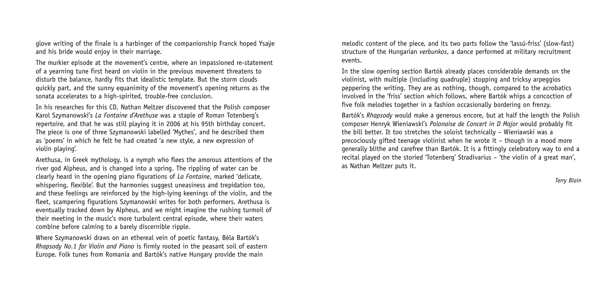glove writing of the finale is a harbinger of the companionship Franck hoped Ysaÿe and his bride would enjoy in their marriage.

The murkier episode at the movement's centre, where an impassioned re-statement of a yearning tune first heard on violin in the previous movement threatens to disturb the balance, hardly fits that idealistic template. But the storm clouds quickly part, and the sunny equanimity of the movement's opening returns as the sonata accelerates to a high-spirited, trouble-free conclusion.

In his researches for this CD, Nathan Meltzer discovered that the Polish composer Karol Szymanowski's *La Fontaine d'Arethuse* was a staple of Roman Totenberg's repertoire, and that he was still playing it in 2006 at his 95th birthday concert. The piece is one of three Szymanowski labelled 'Mythes', and he described them as 'poems' in which he felt he had created 'a new style, a new expression of violin playing'.

Arethusa, in Greek mythology, is a nymph who flees the amorous attentions of the river god Alpheus, and is changed into a spring. The rippling of water can be clearly heard in the opening piano figurations of *La Fontaine*, marked 'delicate, whispering, flexible'. But the harmonies suggest uneasiness and trepidation too. and these feelings are reinforced by the high-lying keenings of the violin, and the fleet, scampering figurations Szymanowski writes for both performers. Arethusa is eventually tracked down by Alpheus, and we might imagine the rushing turmoil of their meeting in the music's more turbulent central episode, where their waters combine before calming to a barely discernible ripple.

Where Szymanowski draws on an ethereal vein of poetic fantasy, Béla Bartók's *Rhapsody No.1 for Violin and Piano* is firmly rooted in the peasant soil of eastern Europe. Folk tunes from Romania and Bartók's native Hungary provide the main

melodic content of the piece, and its two parts follow the 'lassú-friss' (slow-fast) structure of the Hungarian *verbunkos*, a dance performed at military recruitment events.

In the slow opening section Bartók already places considerable demands on the violinist, with multiple (including quadruple) stopping and tricksy arpeggios peppering the writing. They are as nothing, though, compared to the acrobatics involved in the 'friss' section which follows, where Bartók whips a concoction of five folk melodies together in a fashion occasionally bordering on frenzy.

Bartók's *Rhapsody* would make a generous encore, but at half the length the Polish composer Henryk Wieniawski's *Polonaise de Concert in D Major* would probably fit the bill better. It too stretches the soloist technically – Wieniawski was a precociously gifted teenage violinist when he wrote it – though in a mood more generally blithe and carefree than Bartók. It is a fittingly celebratory way to end a recital played on the storied 'Totenberg' Stradivarius – 'the violin of a great man', as Nathan Meltzer puts it.

*Terry Blain*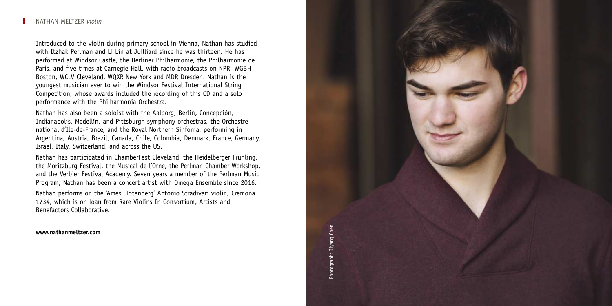Introduced to the violin during primary school in Vienna, Nathan has studied with Itzhak Perlman and Li Lin at Juilliard since he was thirteen. He has performed at Windsor Castle, the Berliner Philharmonie, the Philharmonie de Paris, and five times at Carnegie Hall, with radio broadcasts on NPR, WGBH Boston, WCLV Cleveland, WQXR New York and MDR Dresden. Nathan is the youngest musician ever to win the Windsor Festival International String Competition, whose awards included the recording of this CD and a solo performance with the Philharmonia Orchestra.

Nathan has also been a soloist with the Aalborg, Berlin, Concepción, Indianapolis, Medellín, and Pittsburgh symphony orchestras, the Orchestre national d'Île-de-France, and the Royal Northern Sinfonia, performing in Argentina, Austria, Brazil, Canada, Chile, Colombia, Denmark, France, Germany, Israel, Italy, Switzerland, and across the US.

Nathan has participated in ChamberFest Cleveland, the Heidelberger Frühling, the Moritzburg Festival, the Musical de l'Orne, the Perlman Chamber Workshop, and the Verbier Festival Academy. Seven years a member of the Perlman Music Program, Nathan has been a concert artist with Omega Ensemble since 2016.

Nathan performs on the 'Ames, Totenberg' Antonio Stradivari violin, Cremona 1734, which is on loan from Rare Violins In Consortium, Artists and Benefactors Collaborative.

**www.nathanmeltzer.com**